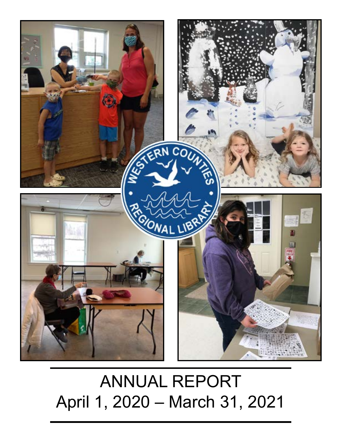# AFRICOUTS **CONAL LIBRA**

# ANNUAL REPORT April 1, 2020 – March 31, 2021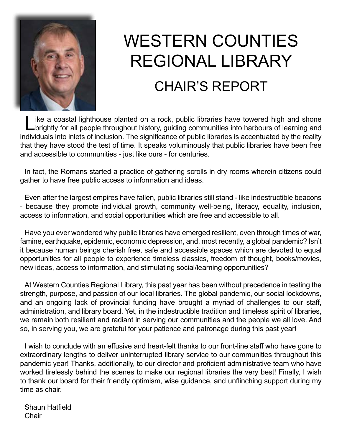

# WESTERN COUNTIES REGIONAL LIBRARY

## CHAIR'S REPORT

like a coastal lighthouse planted on a rock, public libraries have towered high and shone<br>
brightly for all people throughout history, guiding communities into harbours of learning and individuals into inlets of inclusion. The significance of public libraries is accentuated by the reality that they have stood the test of time. It speaks voluminously that public libraries have been free and accessible to communities - just like ours - for centuries.

In fact, the Romans started a practice of gathering scrolls in dry rooms wherein citizens could gather to have free public access to information and ideas.

Even after the largest empires have fallen, public libraries still stand - like indestructible beacons - because they promote individual growth, community well-being, literacy, equality, inclusion, access to information, and social opportunities which are free and accessible to all.

Have you ever wondered why public libraries have emerged resilient, even through times of war, famine, earthquake, epidemic, economic depression, and, most recently, a global pandemic? Isn't it because human beings cherish free, safe and accessible spaces which are devoted to equal opportunities for all people to experience timeless classics, freedom of thought, books/movies, new ideas, access to information, and stimulating social/learning opportunities?

At Western Counties Regional Library, this past year has been without precedence in testing the strength, purpose, and passion of our local libraries. The global pandemic, our social lockdowns, and an ongoing lack of provincial funding have brought a myriad of challenges to our staff, administration, and library board. Yet, in the indestructible tradition and timeless spirit of libraries, we remain both resilient and radiant in serving our communities and the people we all love. And so, in serving you, we are grateful for your patience and patronage during this past year!

I wish to conclude with an effusive and heart-felt thanks to our front-line staff who have gone to extraordinary lengths to deliver uninterrupted library service to our communities throughout this pandemic year! Thanks, additionally, to our director and proficient administrative team who have worked tirelessly behind the scenes to make our regional libraries the very best! Finally, I wish to thank our board for their friendly optimism, wise guidance, and unflinching support during my time as chair.

Shaun Hatfield **Chair**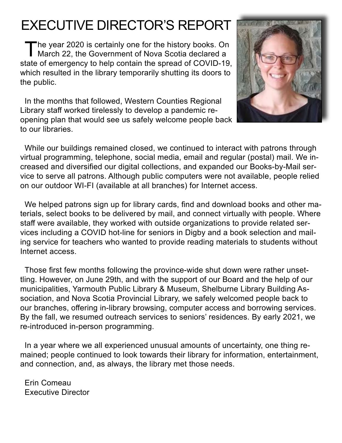## EXECUTIVE DIRECTOR'S REPORT

The year 2020 is certainly one for the history books. On<br>March 22, the Government of Nova Scotia declared a state of emergency to help contain the spread of COVID-19, which resulted in the library temporarily shutting its doors to the public.

In the months that followed, Western Counties Regional Library staff worked tirelessly to develop a pandemic reopening plan that would see us safely welcome people back to our libraries.



While our buildings remained closed, we continued to interact with patrons through virtual programming, telephone, social media, email and regular (postal) mail. We increased and diversified our digital collections, and expanded our Books-by-Mail service to serve all patrons. Although public computers were not available, people relied on our outdoor WI-FI (available at all branches) for Internet access.

We helped patrons sign up for library cards, find and download books and other materials, select books to be delivered by mail, and connect virtually with people. Where staff were available, they worked with outside organizations to provide related services including a COVID hot-line for seniors in Digby and a book selection and mailing service for teachers who wanted to provide reading materials to students without Internet access.

Those first few months following the province-wide shut down were rather unsettling. However, on June 29th, and with the support of our Board and the help of our municipalities, Yarmouth Public Library & Museum, Shelburne Library Building Association, and Nova Scotia Provincial Library, we safely welcomed people back to our branches, offering in-library browsing, computer access and borrowing services. By the fall, we resumed outreach services to seniors' residences. By early 2021, we re-introduced in-person programming.

In a year where we all experienced unusual amounts of uncertainty, one thing remained; people continued to look towards their library for information, entertainment, and connection, and, as always, the library met those needs.

Erin Comeau Executive Director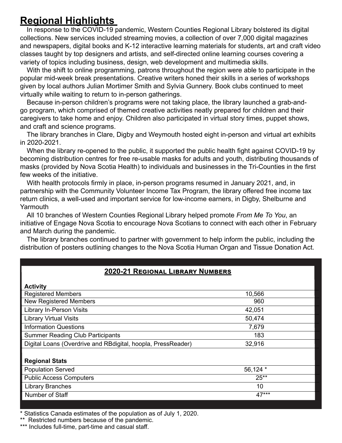## **Regional Highlights**

In response to the COVID-19 pandemic, Western Counties Regional Library bolstered its digital collections. New services included streaming movies, a collection of over 7,000 digital magazines and newspapers, digital books and K-12 interactive learning materials for students, art and craft video classes taught by top designers and artists, and self-directed online learning courses covering a variety of topics including business, design, web development and multimedia skills.

With the shift to online programming, patrons throughout the region were able to participate in the popular mid-week break presentations. Creative writers honed their skills in a series of workshops given by local authors Julian Mortimer Smith and Sylvia Gunnery. Book clubs continued to meet virtually while waiting to return to in-person gatherings.

Because in-person children's programs were not taking place, the library launched a grab-andgo program, which comprised of themed creative activities neatly prepared for children and their caregivers to take home and enjoy. Children also participated in virtual story times, puppet shows, and craft and science programs.

The library branches in Clare, Digby and Weymouth hosted eight in-person and virtual art exhibits in 2020-2021.

When the library re-opened to the public, it supported the public health fight against COVID-19 by becoming distribution centres for free re-usable masks for adults and youth, distributing thousands of masks (provided by Nova Scotia Health) to individuals and businesses in the Tri-Counties in the first few weeks of the initiative.

With health protocols firmly in place, in-person programs resumed in January 2021, and, in partnership with the Community Volunteer Income Tax Program, the library offered free income tax return clinics, a well-used and important service for low-income earners, in Digby, Shelburne and **Yarmouth** 

All 10 branches of Western Counties Regional Library helped promote *From Me To You*, an initiative of Engage Nova Scotia to encourage Nova Scotians to connect with each other in February and March during the pandemic.

The library branches continued to partner with government to help inform the public, including the distribution of posters outlining changes to the Nova Scotia Human Organ and Tissue Donation Act.

#### **2020-21 Regional Library Numbers**

| <b>Activity</b>                                              |          |
|--------------------------------------------------------------|----------|
| <b>Registered Members</b>                                    | 10,566   |
| <b>New Registered Members</b>                                | 960      |
| <b>Library In-Person Visits</b>                              | 42,051   |
| <b>Library Virtual Visits</b>                                | 50,474   |
| <b>Information Questions</b>                                 | 7,679    |
| <b>Summer Reading Club Participants</b>                      | 183      |
| Digital Loans (Overdrive and RBdigital, hoopla, PressReader) | 32,916   |
|                                                              |          |
| <b>Regional Stats</b>                                        |          |
| <b>Population Served</b>                                     | 56,124 * |
| <b>Public Access Computers</b>                               | $25**$   |
| <b>Library Branches</b>                                      | 10       |
| Number of Staff                                              | 47***    |

\* Statistics Canada estimates of the population as of July 1, 2020.

\*\* Restricted numbers because of the pandemic.

\*\*\* Includes full-time, part-time and casual staff.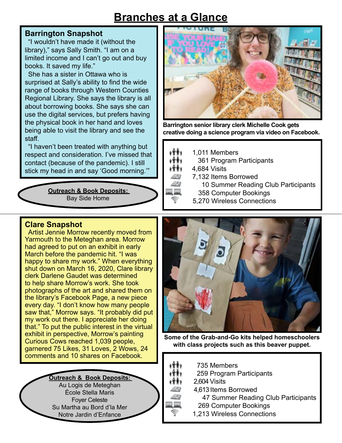## **Branches at a Glance**

#### **Barrington Snapshot**

"I wouldn't have made it (without the library)," says Sally Smith. "I am on a limited income and I can't go out and buy books. It saved my life."

She has a sister in Ottawa who is surprised at Sally's ability to find the wide range of books through Western Counties Regional Library. She says the library is all about borrowing books. She says she can use the digital services, but prefers having the physical book in her hand and loves being able to visit the library and see the staff.

"I haven't been treated with anything but respect and consideration. I've missed that contact (because of the pandemic). I still stick my head in and say 'Good morning.'"

> **Outreach & Book Deposits:**  Bay Side Home



**Barrington senior library clerk Michelle Cook gets creative doing a science program via video on Facebook.**

- イオチャ 1,011 Members
- 361 Program Participants 1991

4,684 Visits

- 7,132 Items Borrowed
	- 10 Summer Reading Club Participants
	- 358 Computer Bookings
- 5,270 Wireless Connections

#### **Clare Snapshot**

Artist Jennie Morrow recently moved from Yarmouth to the Meteghan area. Morrow had agreed to put on an exhibit in early March before the pandemic hit. "I was happy to share my work." When everything shut down on March 16, 2020, Clare library clerk Darlene Gaudet was determined to help share Morrow's work. She took photographs of the art and shared them on the library's Facebook Page, a new piece every day. "I don't know how many people saw that," Morrow says. "It probably did put my work out there. I appreciate her doing that." To put the public interest in the virtual exhibit in perspective, Morrow's painting Curious Cows reached 1,039 people, garnered 75 Likes, 31 Loves, 2 Wows, 24 comments and 10 shares on Facebook.





**Some of the Grab-and-Go kits helped homeschoolers with class projects such as this beaver puppet.**

- 735 Members
- 259 Program Participants i 1 1 i
- 2,604 Visits 1991
	- 4,613 Items Borrowed
		- 47 Summer Reading Club Participants
		- 269 Computer Bookings
	- 1,213 Wireless Connections

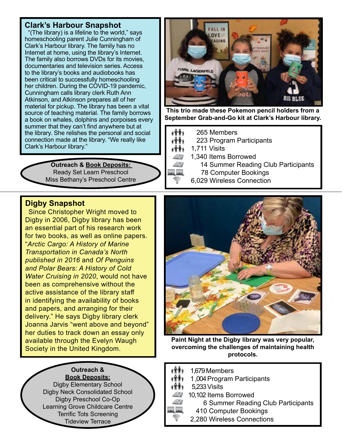#### **Clark's Harbour Snapshot**

"(The library) is a lifeline to the world," says homeschooling parent Julie Cunningham of Clark's Harbour library. The family has no Internet at home, using the library's Internet. The family also borrows DVDs for its movies, documentaries and television series. Access to the library's books and audiobooks has been critical to successfully homeschooling her children. During the COVID-19 pandemic, Cunningham calls library clerk Ruth Ann Atkinson, and Atkinson prepares all of her material for pickup. The library has been a vital source of teaching material. The family borrows a book on whales, dolphins and porpoises every summer that they can't find anywhere but at the library. She relishes the personal and social connection made at the library. "We really like Clark's Harbour library."

> **Outreach & Book Deposits:**  Ready Set Learn Preschool Miss Bethany's Preschool Centre



**This trio made these Pokemon pencil holders from a September Grab-and-Go kit at Clark's Harbour library.**

- 265 Members 柿
- 223 Program Participants ۴۴۱⊧
- ۴۴۱⊧ 1,711 Visits
	- 1,340 Items Borrowed
		- 14 Summer Reading Club Participants
		- 78 Computer Bookings
		- 6,029 Wireless Connection

#### **Digby Snapshot**

Since Christopher Wright moved to Digby in 2006, Digby library has been an essential part of his research work for two books, as well as online papers. "*Arctic Cargo: A History of Marine Transportation in Canada's North published in 2016* and *Of Penguins and Polar Bears: A History of Cold Water Cruising in 2020*, would not have been as comprehensive without the active assistance of the library staff in identifying the availability of books and papers, and arranging for their delivery." He says Digby library clerk Joanna Jarvis "went above and beyond" her duties to track down an essay only available through the Evelyn Waugh Society in the United Kingdom.



**Paint Night at the Digby library was very popular, overcoming the challenges of maintaining health protocols.**

- 1,679 Members
	- 1 ,004 Program Participants
- 5,233 Visits
	- 10,102 Items Borrowed
		- 6 Summer Reading Club Participants
		- 410 Computer Bookings
		- 2,280 Wireless Connections

**Book Deposits:** Digby Elementary School Digby Neck Consolidated School Digby Preschool Co-Op Learning Grove Childcare Centre Terrific Tots Screening Tideview Terrace

**Outreach &**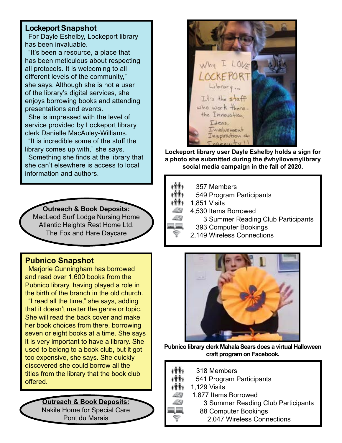#### **Lockeport Snapshot**

For Dayle Eshelby, Lockeport library has been invaluable.

"It's been a resource, a place that has been meticulous about respecting all protocols. It is welcoming to all different levels of the community," she says. Although she is not a user of the library's digital services, she enjoys borrowing books and attending presentations and events.

She is impressed with the level of service provided by Lockeport library clerk Danielle MacAuley-Williams.

"It is incredible some of the stuff the library comes up with," she says.

Something she finds at the library that she can't elsewhere is access to local information and authors.

**Outreach & Book Deposits:**

MacLeod Surf Lodge Nursing Home Atlantic Heights Rest Home Ltd. The Fox and Hare Daycare

#### **Pubnico Snapshot**

Marjorie Cunningham has borrowed and read over 1,600 books from the Pubnico library, having played a role in the birth of the branch in the old church.

"I read all the time," she says, adding that it doesn't matter the genre or topic. She will read the back cover and make her book choices from there, borrowing seven or eight books at a time. She says it is very important to have a library. She used to belong to a book club, but it got too expensive, she says. She quickly discovered she could borrow all the titles from the library that the book club offered.

#### **Outreach & Book Deposits:**

Nakile Home for Special Care Pont du Marais



**Lockeport library user Dayle Eshelby holds a sign for a photo she submitted during the #whyilovemylibrary social media campaign in the fall of 2020.**

- 十余条 357 Members
- 1991 549 Program Participants
- f<sup></sup> <sup>†</sup> 1,851 Visits
	- 4,530 Items Borrowed
		- 3 Summer Reading Club Participants
		- 393 Computer Bookings
			- 2,149 Wireless Connections



**Pubnico library clerk Mahala Sears does a virtual Halloween craft program on Facebook.**

- 318 Members
- 541 Program Participants
- 1,129 Visits 1991
	- 1,877 Items Borrowed
		- 3 Summer Reading Club Participants
		- 88 Computer Bookings
			- 2,047 Wireless Connections

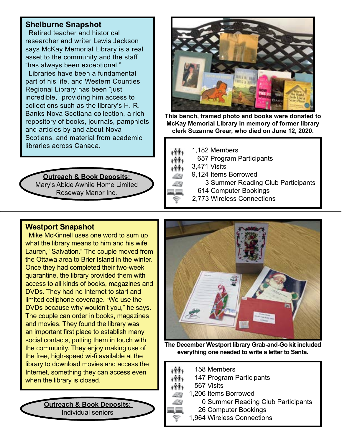#### **Shelburne Snapshot**

Retired teacher and historical researcher and writer Lewis Jackson says McKay Memorial Library is a real asset to the community and the staff "has always been exceptional."

Libraries have been a fundamental part of his life, and Western Counties Regional Library has been "just incredible," providing him access to collections such as the library's H. R. Banks Nova Scotiana collection, a rich repository of books, journals, pamphlets and articles by and about Nova Scotians, and material from academic libraries across Canada.

#### **Outreach & Book Deposits:**  Mary's Abide Awhile Home Limited Roseway Manor Inc.



**This bench, framed photo and books were donated to McKay Memorial Library in memory of former library clerk Suzanne Grear, who died on June 12, 2020.**

1,182 Members



657 Program Participants

3,471 Visits

- 9,124 Items Borrowed
	- 3 Summer Reading Club Participants
		- 614 Computer Bookings
- 2,773 Wireless Connections

#### **Westport Snapshot**

Mike McKinnell uses one word to sum up what the library means to him and his wife Lauren, "Salvation." The couple moved from the Ottawa area to Brier Island in the winter. Once they had completed their two-week quarantine, the library provided them with access to all kinds of books, magazines and DVDs. They had no Internet to start and limited cellphone coverage. "We use the DVDs because why wouldn't you," he says. The couple can order in books, magazines and movies. They found the library was an important first place to establish many social contacts, putting them in touch with the community. They enjoy making use of the free, high-speed wi-fi available at the library to download movies and access the Internet, something they can access even when the library is closed.

> **Outreach & Book Deposits:**  Individual seniors



**The December Westport library Grab-and-Go kit included everything one needed to write a letter to Santa.** 

- 158 Members
- 147 Program Participants
- 567 Visits
	- 1,206 Items Borrowed

0 Summer Reading Club Participants

- 26 Computer Bookings
- 1,964 Wireless Connections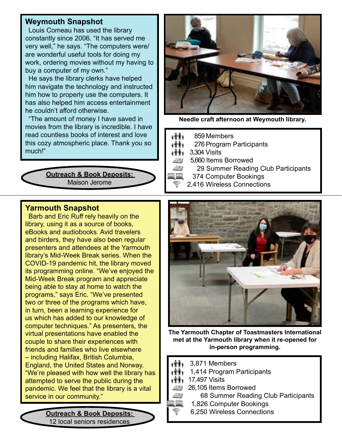#### **Weymouth Snapshot**

Louis Comeau has used the library constantly since 2006. "It has served me very well," he says. "The computers were/ are wonderful useful tools for doing my work, ordering movies without my having to buy a computer of my own."

He says the library clerks have helped him navigate the technology and instructed him how to properly use the computers. It has also helped him access entertainment he couldn't afford otherwise.

"The amount of money I have saved in movies from the library is incredible. I have read countless books of interest and love this cozy atmospheric place. Thank you so much!"

> **Outreach & Book Deposits:**  Maison Jerome



**Needle craft afternoon at Weymouth library.**

- والأكاوة 859 Members
- 276 Program Participants げある
- $\mathbf{H}$  3,304 Visits
	- 5,660 Items Borrowed
		- 29 Summer Reading Club Participants
	- 374 Computer Bookings
	- 2,416 Wireless Connections

#### **Yarmouth Snapshot**

Barb and Eric Ruff rely heavily on the library, using it as a source of books, eBooks and audiobooks. Avid travelers and birders, they have also been regular presenters and attendees at the Yarmouth library's Mid-Week Break series. When the COVID-19 pandemic hit, the library moved its programming online. "We've enjoyed the Mid-Week Break program and appreciate being able to stay at home to watch the programs," says Eric. "We've presented two or three of the programs which have, in turn, been a learning experience for us which has added to our knowledge of computer techniques." As presenters, the virtual presentations have enabled the couple to share their experiences with friends and families who live elsewhere – including Halifax, British Columbia, England, the United States and Norway. "We're pleased with how well the library has attempted to serve the public during the pandemic. We feel that the library is a vital service in our community."

> **Outreach & Book Deposits:**  12 local seniors residences



**The Yarmouth Chapter of Toastmasters International met at the Yarmouth library when it re-opened for in-person programming.**

- 3,871 Members
- 1,414 Program Participants
- <sup>1</sup><sup>1</sup>1, 17,497 Visits
	- 26,105 Items Borrowed
		- 68 Summer Reading Club Participants
		- 1,826 Computer Bookings
		- 6,250 Wireless Connections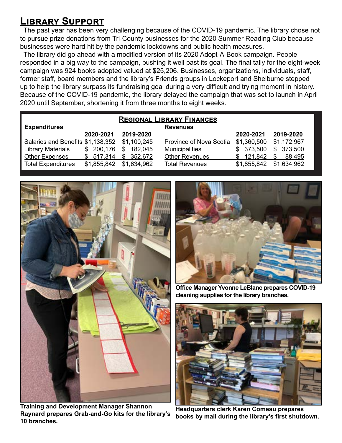### **Library Support**

The past year has been very challenging because of the COVID-19 pandemic. The library chose not to pursue prize donations from Tri-County businesses for the 2020 Summer Reading Club because businesses were hard hit by the pandemic lockdowns and public health measures.

The library did go ahead with a modified version of its 2020 Adopt-A-Book campaign. People responded in a big way to the campaign, pushing it well past its goal. The final tally for the eight-week campaign was 924 books adopted valued at \$25,206. Businesses, organizations, individuals, staff, former staff, board members and the library's Friends groups in Lockeport and Shelburne stepped up to help the library surpass its fundraising goal during a very difficult and trying moment in history. Because of the COVID-19 pandemic, the library delayed the campaign that was set to launch in April 2020 until September, shortening it from three months to eight weeks.

| <b>REGIONAL LIBRARY FINANCES</b>              |             |               |                         |             |              |  |
|-----------------------------------------------|-------------|---------------|-------------------------|-------------|--------------|--|
| <b>Expenditures</b>                           |             |               | <b>Revenues</b>         |             |              |  |
|                                               | 2020-2021   | 2019-2020     |                         | 2020-2021   | 2019-2020    |  |
| Salaries and Benefits \$1,138,352 \$1,100,245 |             |               | Province of Nova Scotia | \$1,360,500 | \$1,172,967  |  |
| <b>Library Materials</b>                      | \$200,176   | \$<br>182,045 | <b>Municipalities</b>   | \$373,500   | \$373,500    |  |
| <b>Other Expenses</b>                         | \$517,314   | \$352,672     | <b>Other Revenues</b>   | \$121,842   | 88,495<br>S. |  |
| <b>Total Expenditures</b>                     | \$1,855,842 | \$1,634,962   | <b>Total Revenues</b>   | \$1,855,842 | \$1,634,962  |  |



**Training and Development Manager Shannon Raynard prepares Grab-and-Go kits for the library's 10 branches.**



**Office Manager Yvonne LeBlanc prepares COVID-19 cleaning supplies for the library branches.**



**Headquarters clerk Karen Comeau prepares books by mail during the library's first shutdown.**